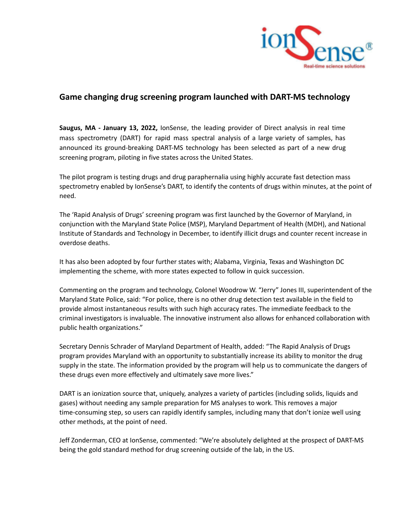

## **Game changing drug screening program launched with DART-MS technology**

**Saugus, MA - January 13, 2022,** IonSense, the leading provider of Direct analysis in real time mass spectrometry (DART) for rapid mass spectral analysis of a large variety of samples, has announced its ground-breaking DART-MS technology has been selected as part of a new drug screening program, piloting in five states across the United States.

The pilot program is testing drugs and drug paraphernalia using highly accurate fast detection mass spectrometry enabled by IonSense's DART, to identify the contents of drugs within minutes, at the point of need.

The 'Rapid Analysis of Drugs' screening program was first launched by the Governor of Maryland, in conjunction with the Maryland State Police (MSP), Maryland Department of Health (MDH), and National Institute of Standards and Technology in December, to identify illicit drugs and counter recent increase in overdose deaths.

It has also been adopted by four further states with; Alabama, Virginia, Texas and Washington DC implementing the scheme, with more states expected to follow in quick succession.

Commenting on the program and technology, Colonel Woodrow W. "Jerry" Jones III, superintendent of the Maryland State Police, said: "For police, there is no other drug detection test available in the field to provide almost instantaneous results with such high accuracy rates. The immediate feedback to the criminal investigators is invaluable. The innovative instrument also allows for enhanced collaboration with public health organizations."

Secretary Dennis Schrader of Maryland Department of Health, added: "The Rapid Analysis of Drugs program provides Maryland with an opportunity to substantially increase its ability to monitor the drug supply in the state. The information provided by the program will help us to communicate the dangers of these drugs even more effectively and ultimately save more lives."

DART is an ionization source that, uniquely, analyzes a variety of particles (including solids, liquids and gases) without needing any sample preparation for MS analyses to work. This removes a major time-consuming step, so users can rapidly identify samples, including many that don't ionize well using other methods, at the point of need.

Jeff Zonderman, CEO at IonSense, commented: "We're absolutely delighted at the prospect of DART-MS being the gold standard method for drug screening outside of the lab, in the US.